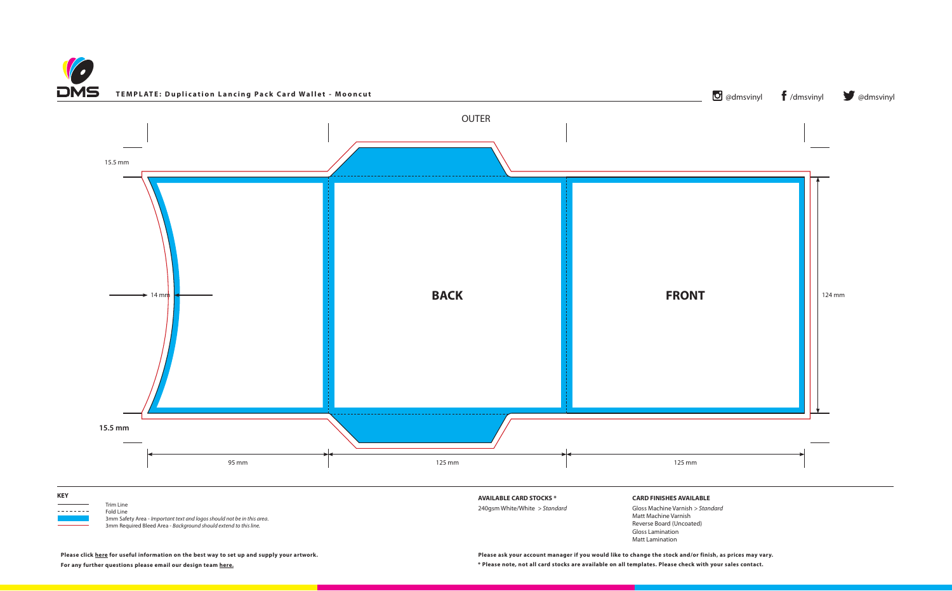**\* Please note, not all card stocks are available on all templates. Please check with your sales contact. Please ask your account manager if you would like to change the stock and/or finish, as prices may vary.**





**Please click [here](https://www.discmanufacturingservices.com/cd/templates#artwork-specifications) for useful information on the best way to set up and supply your artwork.**

**For any further questions please email our design team [here.](mailto:graphics%40discmanufacturingservices.com?subject=Template%20Enquiry)**

Gloss Lamination Matt Lamination